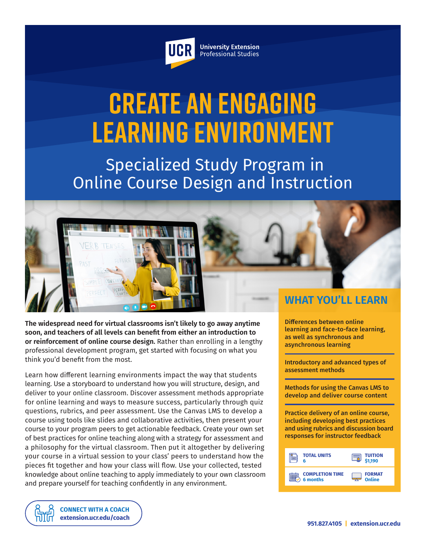

**University Extension** Professional Studies

# **Create an Engaging Learning Environment**

 Specialized Study Program in Online Course Design and Instruction



**The widespread need for virtual classrooms isn't likely to go away anytime soon, and teachers of all levels can benefit from either an introduction to or reinforcement of online course design.** Rather than enrolling in a lengthy professional development program, get started with focusing on what you think you'd benefit from the most.

Learn how different learning environments impact the way that students learning. Use a storyboard to understand how you will structure, design, and deliver to your online classroom. Discover assessment methods appropriate for online learning and ways to measure success, particularly through quiz questions, rubrics, and peer assessment. Use the Canvas LMS to develop a course using tools like slides and collaborative activities, then present your course to your program peers to get actionable feedback. Create your own set of best practices for online teaching along with a strategy for assessment and a philosophy for the virtual classroom. Then put it altogether by delivering your course in a virtual session to your class' peers to understand how the pieces fit together and how your class will flow. Use your collected, tested knowledge about online teaching to apply immediately to your own classroom and prepare yourself for teaching confidently in any environment.

Differences between online learning and face-to-face learning, as well as synchronous and asynchronous learning

Introductory and advanced types of assessment methods

Methods for using the Canvas LMS to develop and deliver course content

Practice delivery of an online course, including developing best practices and using rubrics and discussion board responses for instructor feedback



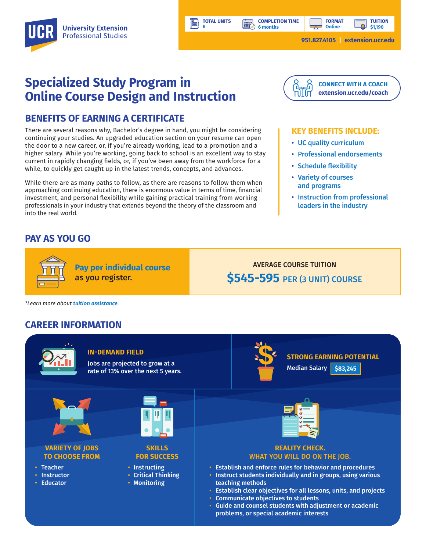**TOTAL UNITS**

**BBP** 

**6** 

Ħ

**TUITION \$1,190**

**951.827.4105 | [extension.ucr.edu](http://extension.ucr.edu)**

**FORMAT Online**

# **Specialized Study Program in Online Course Design and Instruction**

### **BENEFITS OF EARNING A CERTIFICATE**

There are several reasons why, Bachelor's degree in hand, you might be considering continuing your studies. An upgraded education section on your resume can open the door to a new career, or, if you're already working, lead to a promotion and a higher salary. While you're working, going back to school is an excellent way to stay current in rapidly changing fields, or, if you've been away from the workforce for a while, to quickly get caught up in the latest trends, concepts, and advances.

While there are as many paths to follow, as there are reasons to follow them when approaching continuing education, there is enormous value in terms of time, financial investment, and personal flexibility while gaining practical training from working professionals in your industry that extends beyond the theory of the classroom and into the real world.

## **PAY AS YOU GO**



#### **KEY BENEFITS INCLUDE:**

- UC quality curriculum
- Professional endorsements
- Schedule flexibility
- Variety of courses and programs
- Instruction from professional leaders in the industry

as you register.

**Pay per individual course**

AVERAGE COURSE TUITION **\$545-595** PER (3 UNIT) COURSE

*\*Learn more about tuition assistance.*

## **CAREER INFORMATION**